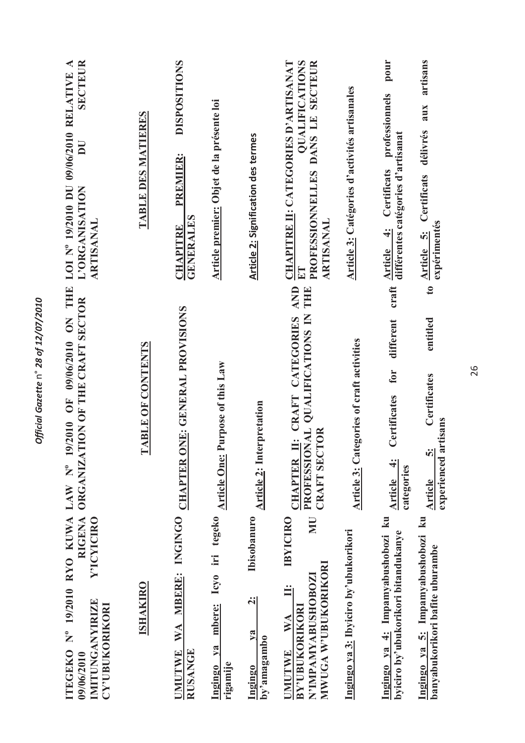| <b>SECTEUR</b><br>LOI Nº 19/2010 DU 09/06/2010 RELATIVE A<br>$\overline{\mathbf{D}}\mathbf{U}$<br>L'ORGANISATION<br><b>ARTISANAL</b> | TABLE DES MATIERES | <b>DISPOSITIONS</b><br>PREMIER:<br><b>GENERALES</b><br>CHAPITRE | Article premier: Objet de la présente loi                           | <b>Article 2: Signification des termes</b>                                 | <b>CHAPITRE II: CATEGORIES D'ARTISANAT</b><br><b>OUALIFICATIONS</b><br>PROFESSIONNELLES DANS LE SECTEUR<br><b>ARTISANAL</b><br>$\frac{1}{2}$          | Article 3: Catégories d'activités artisanales    | pour<br>artisans<br>professionnels<br>aux<br>délivrés<br>différentes catégories d'artisanat<br>Article 4: Certificats<br>Certificats<br>expérimentés<br>Article 5:           |
|--------------------------------------------------------------------------------------------------------------------------------------|--------------------|-----------------------------------------------------------------|---------------------------------------------------------------------|----------------------------------------------------------------------------|-------------------------------------------------------------------------------------------------------------------------------------------------------|--------------------------------------------------|------------------------------------------------------------------------------------------------------------------------------------------------------------------------------|
| 9/2010 OF 09/06/2010 ON THE<br>ORGANIZATION OF THE CRAFT SECTOR                                                                      | TABLE OF CONTENTS  | INGINGO CHAPTER ONE: GENERAL PROVISIONS                         | Purpose of this Law                                                 | <b>Article 2: Interpretation</b>                                           | <b>AND</b><br>THE<br>PROFESSIONAL QUALIFICATIONS IN<br>II: CRAFT CATEGORIES<br><b>CRAFT SECTOR</b><br><b>CHAPTER</b>                                  | <b>Article 3: Categories of craft activities</b> | $\bullet$<br>craft<br>entitled<br>different<br>for<br>Certificates<br>Certificates<br>artisans<br>$\ddot{\bm{\delta}}$<br>experienced<br>Article 4:<br>categories<br>Article |
| ITEGEKO Nº 19/2010 RYO KUWA LAW Nº 1<br><b>RIGENA</b><br>Y'ICYICIRO<br><b>IMITUNGANYIRIZE</b><br><b>CY'UBUKORIKORI</b><br>09/06/2010 | <b>ISHAKIRO</b>    | UMUTWE WA MBERE:<br><b>RUSANGE</b>                              | mbere: Icyo iri tegeko Article One:<br>$y_a$<br>rigamije<br>Ingingo | <b>Ibisobanuro</b><br>$\ddot{\textbf{c}}$<br>$2$<br>by'amagambo<br>Ingingo | <b>NN</b><br><b>IBYICIRO</b><br><b>MWUGA W'UBUKORIKORI</b><br>N'IMPAMYABUSHOBOZI<br><b>BY'UBUKORIKORI</b><br>$\mathbf{W} \mathbf{A}$<br><b>UMUTWE</b> | Ingingo ya 3: Ibyiciro by'ubukorikori            | Ingingo ya 4: Impamyabushobozi ku<br>Ingingo ya 5: Impamyabushobozi ku<br>byiciro by'ubukorikori bitandukanye<br>banyabukorikori bafite uburambe                             |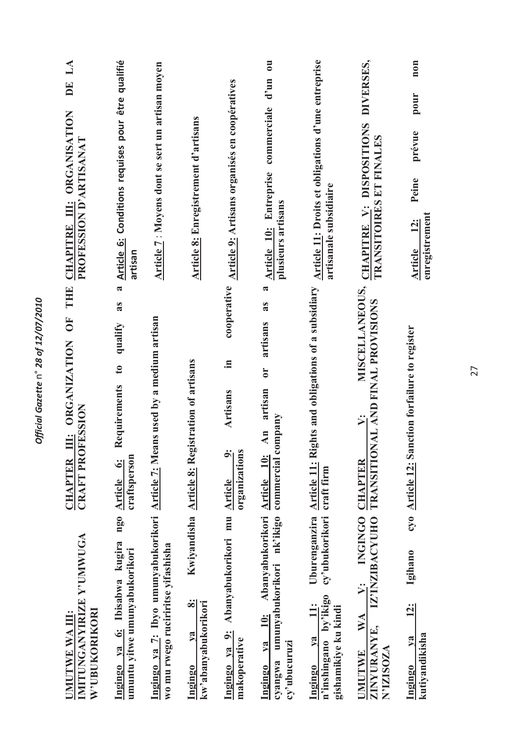| TRANSITOIRES ET FINALES<br>TRANSITIONAL AND FINAL PROVISIONS<br>IZ'INZIBACYUHO | DIVERSES,<br>CHAPITRE V: DISPOSITIONS<br>MISCELLANEOUS,<br>$\ddot{ }$<br>INGINGO CHAPTER<br>$\ddot{ }$<br>WA | Article 11: Droits et obligations d'une entreprise<br>artisanale subsidiaire<br>Uburenganzira Article 11: Rights and obligations of a subsidiary<br>craft firm<br>cy'ubukorikori<br>by'ikigo<br>$\ddot{u}$ : | $\overline{\mathbf{u}}$<br>$d'$ un<br>commerciale<br>Article 10: Entreprise<br>plusieurs artisans<br>$\approx$<br>as<br>artisans<br>$\overline{\mathbf{C}}$<br>artisan<br>ompany<br>$\overline{A}$ in<br>commercial c<br>Abanyabukorikori Article 10: | Article 9: Artisans organisés en coopératives<br>cooperative<br>.크<br>Artisans<br>$\ddot{\bullet}$<br>organizations<br>mu Article<br>Abanyabukorikori | Article 8: Enregistrement d'artisans<br>Kwiyandisha Article 8: Registration of artisans<br>$\ddot{\infty}$ | Article 7: Moyens dont se sert un artisan moyen<br>Ingingo ya 7: Ibyo umunyabukorikori Article 7: Means used by a medium artisan | Article 6: Conditions requises pour être qualifié<br>artisan<br>$\tilde{\mathbf{z}}$<br>as<br>qualify<br>$\mathfrak{g}$<br>Requirements<br>craftsperson<br>ngo Article 6: | $\mathbf{L}\mathbf{A}$<br>DE<br>CHAPITRE III: ORGANISATION<br>PROFESSION D'ARTISANAT<br>III: ORGANIZATION OF THE<br><b>CRAFT PROFESSION</b><br><b>CHAPTER</b><br>IMITUNGANYIRIZE Y'UMWUGA<br>W'UBUKORIKORI<br>UMUTWE WA III: |
|--------------------------------------------------------------------------------|--------------------------------------------------------------------------------------------------------------|--------------------------------------------------------------------------------------------------------------------------------------------------------------------------------------------------------------|-------------------------------------------------------------------------------------------------------------------------------------------------------------------------------------------------------------------------------------------------------|-------------------------------------------------------------------------------------------------------------------------------------------------------|------------------------------------------------------------------------------------------------------------|----------------------------------------------------------------------------------------------------------------------------------|---------------------------------------------------------------------------------------------------------------------------------------------------------------------------|------------------------------------------------------------------------------------------------------------------------------------------------------------------------------------------------------------------------------|
|                                                                                | ZINYURANYE,<br>N'IZISOZA<br><b>UMUTWE</b>                                                                    | gishamikiye ku kindi<br>$1$<br>n'inshingano<br>Ingingo                                                                                                                                                       | cyangwa umunyabukorikori nk'ikigo<br>$ya$ 10:<br>cy'ubucuruzi<br>Ingingo                                                                                                                                                                              | Ingingo ya 9:<br>makoperative                                                                                                                         | kw'abanyabukorikori<br>$1$<br>Ingingo                                                                      | wo mu rwego ruciriritse yifashisha                                                                                               | Ingingo ya 6: Ibisabwa kugira<br>umuntu yitwe umunyabukorikori                                                                                                            |                                                                                                                                                                                                                              |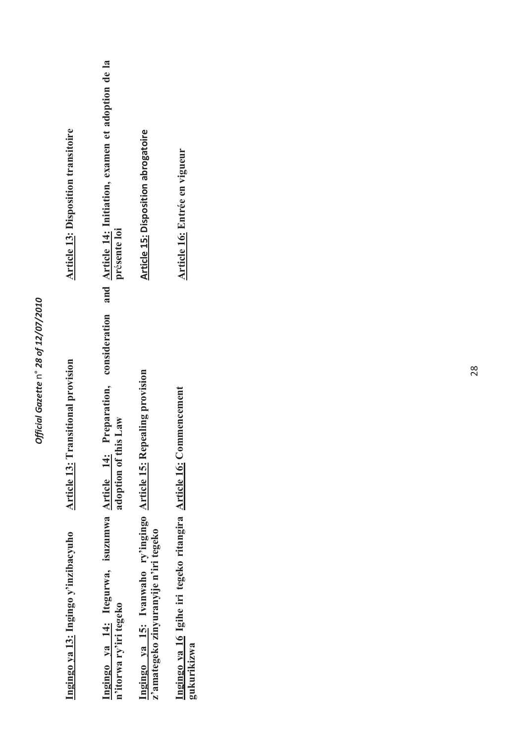| <b>Article 13: Disposition transitoire</b> | and Article 14: Initiation, examen et adoption de la<br>présente loi<br>consideration<br>Preparation, | <b>Article 15: Disposition abrogatoire</b>                                                                  | Article 16: Entrée en vigueur<br>mmencement                            |  |  |
|--------------------------------------------|-------------------------------------------------------------------------------------------------------|-------------------------------------------------------------------------------------------------------------|------------------------------------------------------------------------|--|--|
| <b>Article 13: Transitional provision</b>  | is Law<br>adoption of th                                                                              |                                                                                                             |                                                                        |  |  |
| Ingingo ya 13: Ingingo y'inzibacyuho       | Ingingo ya 14: Itegurwa, isuzumwa Article 14:<br>n'itorwa ry'iri tegeko                               | Ingingo ya 15: Ivanwaho ry'ingingo Article 15: Repealing provision<br>z'amategeko zinyuranyije n'iri tegeko | Ingingo ya 16 Igihe iri tegeko ritangira Article 16: Co<br>gukurikizwa |  |  |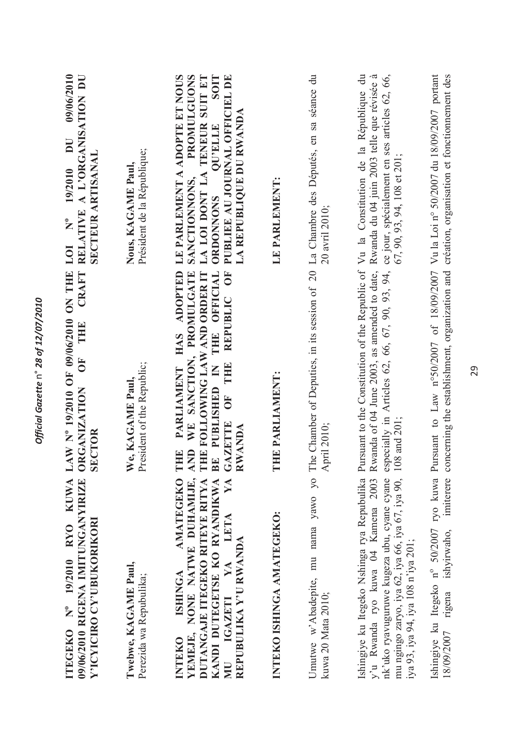| 09/06/2010<br>RELATIVE A L'ORGANISATION DU<br>$\overline{\mathbf{D}}$<br>SECTEUR ARTISANAL<br>19/2010<br>LOI Nº | Président de la République;<br>Nous, KAGAME Paul,  | <b>SOIT</b><br>LE PARLEMENT A ADOPTE ET NOUS<br>TENEUR SUIT ET<br>PUBLIEE AU JOURNAL OFFICIEL DE<br>PROMULGUONS<br>LA REPUBLIQUE DU RWANDA<br><b>OU'ELLE</b><br>LA LOI DONT LA<br>SANCTIONNONS,<br><b>ORDONNONS</b>                      | LE PARLEMENT:             | 20 avril 2010;                                                                                                                                  | ce jour, spécialement en ses articles 62, 66,<br>67, 90, 93, 94, 108 et 201;                                                                                                                                                                                                                                     | création, organisation et fonctionnement des                                                                                                                       |
|-----------------------------------------------------------------------------------------------------------------|----------------------------------------------------|------------------------------------------------------------------------------------------------------------------------------------------------------------------------------------------------------------------------------------------|---------------------------|-------------------------------------------------------------------------------------------------------------------------------------------------|------------------------------------------------------------------------------------------------------------------------------------------------------------------------------------------------------------------------------------------------------------------------------------------------------------------|--------------------------------------------------------------------------------------------------------------------------------------------------------------------|
| LAW Nº 19/2010 OF 09/06/2010 ON THE<br>CRAFT<br>e<br>Til<br>$\overline{\mathbf{C}}$<br><b>SECTOR</b>            | President of the Republic;<br>e, KAGAME Paul,<br>⋗ | OF<br><b>ADOPTED</b><br>WE SANCTION, PROMULGATE<br>HE FOLLOWING LAW AND ORDER IT<br>THE OFFICIAL<br>REPUBLIC<br><b>HAS</b><br>THE<br>BE PUBLISHED IN<br><b>PARLIAMENT</b><br>ÖF<br><b>GAZETTE</b><br><b>RWANDA</b><br>AND<br>E<br>Ē<br>F | HE PARLIAMENT:<br>Ξ       | April 2010;                                                                                                                                     | Rwanda of 04 June 2003, as amended to date, Rwanda du 04 juin 2003 telle que révisée à<br>especially in Articles 62, 66, 67, 90, 93, 94,<br>108 and 201;                                                                                                                                                         | imiterere concerning the establishment, organization and                                                                                                           |
| 09/06/2010 RIGENA IMITUNGANYIRIZE ORGANIZATION<br>ITEGEKO Nº 19/2010 RYO KUWA<br>Y'ICYICIRO CY'UBUKORIKORI      | Twebwe, KAGAME Paul,<br>Perezida wa Repubulika;    | <b>AMATEGEKO</b><br>YA<br>YEMEJE, NONE NATWE DUHAMIJE,<br>KANDI DUTEGETSE KO RYANDIKWA<br>DUTANGAJE ITEGEKO RITEYE RITYA<br>MU IGAZETI YA LETA<br>REPUBULIKA Y'U RWANDA<br><b>ISHINGA</b><br><b>INTEKO</b>                               | INTEKO ISHINGA AMATEGEKO: | Umutwe w'Abadepite, mu nama yawo yo The Chamber of Deputies, in its session of 20 La Chambre des Députés, en sa séance du<br>kuwa 20 Mata 2010; | Ishingiye ku Itegeko Nshinga rya Repubulika Pursuant to the Constitution of the Republic of Vu la Constitution de la République du<br>nk'uko ryavuguruwe kugeza ubu, cyane cyane<br>y'u Rwanda ryo kuwa 04 Kamena 2003<br>mu ngingo zaryo, iya 62, iya 66, iya 67, iya 90,<br>iya 93, iya 94, iya 108 n'iya 201; | Ishingiye ku Itegeko nº 50/2007 ryo kuwa Pursuant to Law nº50/2007 of 18/09/2007 Vu la Loi nº 50/2007 du 18/09/2007 portant<br>ishyirwaho,<br>rigena<br>18/09/2007 |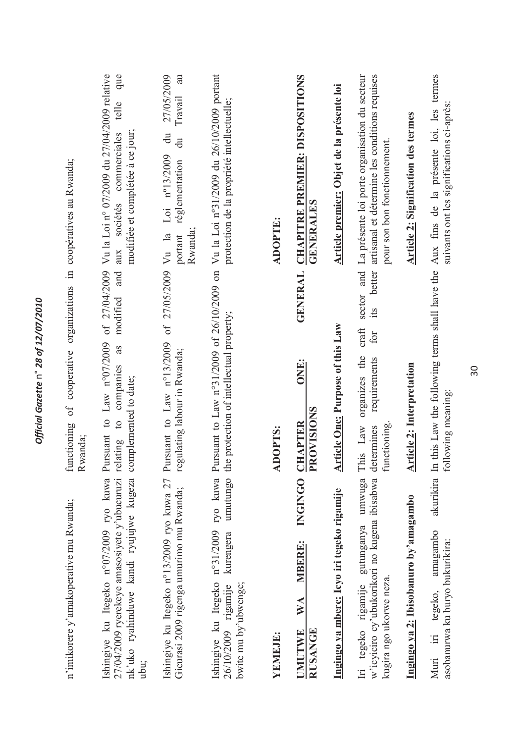| nk'uko ryahinduwe kandi ryujujwe kugeza<br>27/04/2009 ryerekeye amasosiyete y'ubucuruzi<br>Ishingiye ku Itegeko n°13/2009 ryo kuwa 27<br>Ishingiye ku Itegeko n°07/2009 ryo kuwa<br>Gicurasi 2009 rigenga umurimo mu Rwanda;<br>n'imikorere y'amakoperative mu Rwanda;<br>ubu; | Pursuant to Law $n^o07/2009$ of $27/04/2009$<br>of 27/05/2009<br>modified and<br>Pursuant to $Law no13/2009$<br>as<br>cooperative<br>regulating labour in Rwanda;<br>companies<br>complemented to date;<br>of<br>$\frac{1}{2}$<br>functioning<br>Rwanda;<br>relating | Vu la Loi nº 07/2009 du 27/04/2009 relative<br>que<br>27/05/2009<br>au<br>Travail<br>telle<br>modifiée et complétée à ce jour;<br>$\ddot{a}$<br>sociétés commerciales<br>$\ddot{a}$<br>Loi nº13/2009<br>organizations in coopératives au Rwanda;<br>réglementation<br>Vu la<br>portant<br>aux |
|--------------------------------------------------------------------------------------------------------------------------------------------------------------------------------------------------------------------------------------------------------------------------------|----------------------------------------------------------------------------------------------------------------------------------------------------------------------------------------------------------------------------------------------------------------------|-----------------------------------------------------------------------------------------------------------------------------------------------------------------------------------------------------------------------------------------------------------------------------------------------|
| umutungo<br>Ishingiye ku Itegeko nº31/2009 ryo kuwa<br>kurengera<br>bwite mu by'ubwenge;<br>26/10/2009 rigamije<br>YEMEJE:                                                                                                                                                     | Pursuant to Law n°31/2009 of 26/10/2009 on<br>the protection of intellectual property;<br><b>ADOPTS:</b>                                                                                                                                                             | Vu la Loi nº31/2009 du 26/10/2009 portant<br>protection de la propriété intellectuelle;<br><b>ADOPTE:</b><br>Rwanda;                                                                                                                                                                          |
| <b>INGINGO</b><br><b>MBERE:</b><br>WA<br>RUSANGE<br><b>UMUTWE</b>                                                                                                                                                                                                              | <b>GENERAL</b><br>ONE:<br><b>ROVISIONS</b><br><b>CHAPTER</b>                                                                                                                                                                                                         | <b>CHAPITRE PREMIER: DISPOSITIONS</b><br><b>GENERALES</b>                                                                                                                                                                                                                                     |
| Ingingo ya mbere: Icyo iri tegeko rigamije                                                                                                                                                                                                                                     | <b>Article One: Purpose of this Law</b>                                                                                                                                                                                                                              | Article premier: Objet de la présente loi                                                                                                                                                                                                                                                     |
| w'icyiciro cy'ubukorikori no kugena ibisabwa<br>umwuga<br>Iri tegeko rigamije gutunganya<br>kugira ngo ukorwe neza.                                                                                                                                                            | better<br>its<br>craft<br>for<br>organizes the<br>requirements<br>functioning<br>This Law<br>determines                                                                                                                                                              | artisanal et détermine les conditions requises<br>sector and La présente loi porte organisation du secteur<br>pour son bon fonctionnement.                                                                                                                                                    |
| Ingingo ya 2: Ibisobanuro by'amagambo                                                                                                                                                                                                                                          | <b>Article 2: Interpretation</b>                                                                                                                                                                                                                                     | <b>Article 2: Signification des termes</b>                                                                                                                                                                                                                                                    |
| amagambo<br>asobanurwa ku buryo bukurikira:<br>tegeko,<br>$\equiv$<br>Muri                                                                                                                                                                                                     | akurikira In this Law the following terms shall have the Aux fins de la présente loi, les termes<br>following meaning:                                                                                                                                               | suivants ont les significations ci-après                                                                                                                                                                                                                                                      |

Official Gazette n° 28 of 12/07/2010 *Official Gazette* n° *28 of 12/07/2010*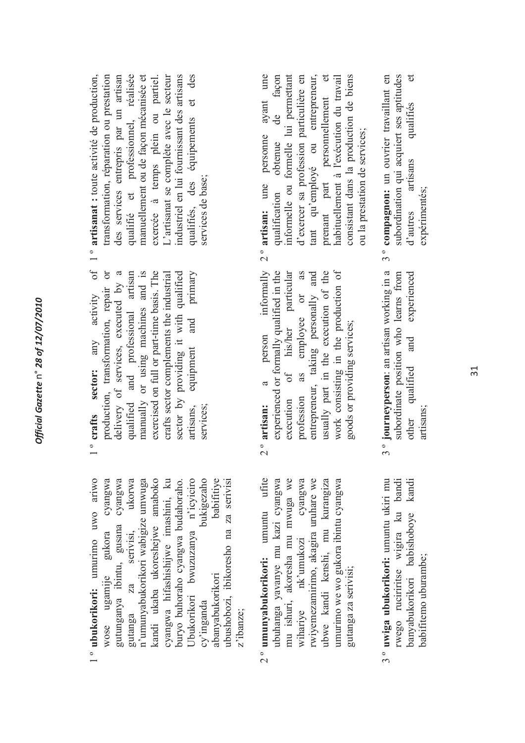- l<sup>o</sup> ubukorikori: umurimo uwo ariwo 1 º **ubukorikori:** umurimo uwo ariwo wose ugamije gukora cyangwa gutunganya ibintu, gusana cyangwa gutanga za serivisi, ukorwa n'umunyabukorikori wabigize umwuga kandi ukaba ukoreshejwe amaboko cyangwa hifashishijwe imashini, ku buryo buhoraho cyangwa budahoraho. Ubukorikori bwuzuzanya n'icyiciro cy'inganda bukigezaho abanyabukorikori babifitiye ubushobozi, ibikoresho na za serivisi gukora cyangwa gutunganya ibintu, gusana cyangwa ukorwa n'umunyabukorikori wabigize umwuga kandi ukaba ukoreshejwe amaboko cyangwa hifashishijwe imashini, ku Ubukorikori bwuzuzanya n'icyiciro bukigezaho babifitive buryo buhoraho cyangwa budahoraho. ubushobozi, ibikoresho na za serivisi za serivisi, wose ugamije abanyabukorikori cy'inganda gutanga z'ibanze;
- 2 º **umunyabukorikori:** umuntu ufite ubuhanga yavanye mu kazi cyangwa mu ishuri, akoresha mu mwuga we wihariye nk'umukozi cyangwa rwiyemezamirimo, akagira uruhare we ubwe kandi kenshi, mu kurangiza umurimo we wo gukora ibintu cyangwa 2° umunyabukorikori: umuntu ufite ubuhanga yavanye mu kazi cyangwa mu ishuri, akoresha mu mwuga we cyangwa rwiyemezamirimo, akagira uruhare we ubwe kandi kenshi, mu kurangiza umurimo we wo gukora ibintu cyangwa wihariye nk'umukozi gutanga za serivisi; gutanga za serivisi;
- 3 º **uwiga ubukorikori:** umuntu ukiri mu rwego ruciriritse wigira ku bandi banyabukorikori babishoboye kandi 3° uwiga ubukorikori: umuntu ukiri mu bandi kandi rwego rucirirtise wigira ku banyabukorikori babishoboye babifitemo uburambe; babifitemo uburambe;
- $\circ$ f 1 º **crafts sector:** any activity of production, transformation, repair or delivery of services, executed by a qualified and professional artisan manually or using machines and is exercised on full or part-time basis. The crafts sector complements the industrial sector by providing it with qualified artisans, equipment and primary production, transformation, repair or delivery of services, executed by a exercised on full or part-time basis. The qualified and professional artisan manually or using machines and is sector by providing it with qualified equipment and primary crafts sector complements the industrial 1° crafts sector: any activity artisans, services;
- 1 º **artisanat :** toute activité de production, transformation, réparation ou prestation des services entrepris par un artisan qualifié et professionnel, réalisée manuellement ou de façon mécanisée et exercée à temps plein ou partiel. L'artisanat se complète avec le secteur industriel en lui fournissant des artisans qualifiés, des équipements et des transformation, réparation ou prestation des services entrepris par un artisan qualifié et professionnel, réalisée manuellement ou de façon mécanisée et exercée à temps plein ou partiel. L'artisanat se complète avec le secteur industriel en lui fournissant des artisans qualifiés, des équipements et des 1° artisanat : toute activité de production. services de base; services de base:
- informally 2 º **artisan:** a person informally experienced or formally qualified in the execution of his/her particular profession as employee or as entrepreneur, taking personally and usually part in the execution of the work consisting in the production of experienced or formally qualified in the execution of his/her particular as usually part in the execution of the work consisting in the production of entrepreneur, taking personally and  $\overline{\text{or}}$ profession as employee goods or providing services; goods or providing services; person  $\alpha$  $2^{\circ}$  artisan:
- 3° journeyperson: an artisan working in a 3 º **journeyperson**: an artisan working in a subordinate position who learns from other qualified and experienced subordinate position who learns from experienced other qualified and artisans;
- 2 º **artisan:** une personne ayant une qualification obtenue de façon informelle ou formelle lui permettant d'exercer sa profession particulière en tant qu'employé ou entrepreneur, prenant part personnellement et habituellement à l'exécution du travail consistant dans la production de biens de façon informelle ou formelle lui permettant d'exercer sa profession particulière en tant qu'employé ou entrepreneur, orenant part personnellement et habituellement à l'exécution du travail consistant dans la production de biens personne ayant une ou la prestation de services; ou la prestation de services; obtenue  $2^{\circ}$  artisan: une qualification
- 3 º **compagnon:** un ouvrier travaillant en subordination qui acquiert ses aptitudes d'autres artisans qualifiés et subordination qui acquiert ses aptitudes  $\sigma$ 3° compagnon: un ouvrier travaillant en qualifiés artisans expérimentés; expérimentés; d'autres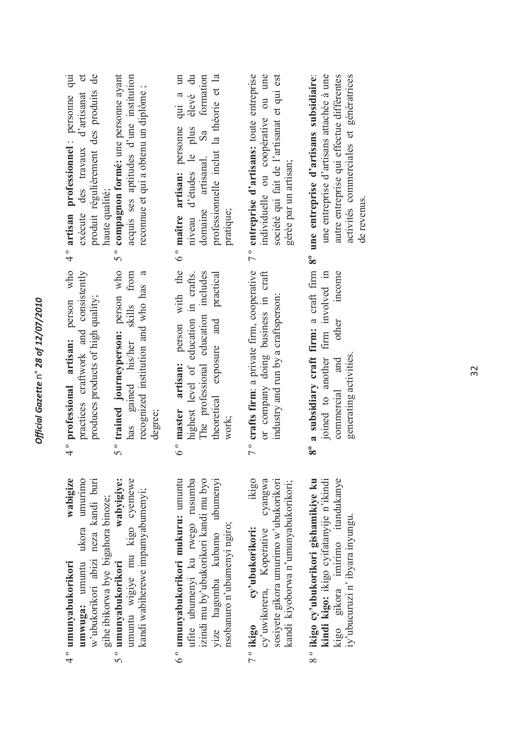| wabigize<br>umuntu wigiye mu kigo cyemewe<br>ikigo<br>wabyigiye:<br>ufite ubumenyi ku rwego rusumba<br>umwuga: umuntu ukora umurimo<br>w'ubukorikori abizi neza kandi buri<br>umunyabukorikori mukuru: umuntu<br>izindi mu by'ubukorikori kandi mu byo<br>yize hagomba kubamo ubumenyi<br>cyangwa<br>sosiyete gikora umurimo w'ubukorikori<br>kandi kiyoborwa n'umunyabukorikori;<br>kandi wabiherewe impamyabumenyi;<br>gihe ibikorwa bye bigahora binoze;<br>nsobanuro n'ubumenyi ngiro;<br>cy'uwikorera, Koperative<br>cy'ubukorikori:<br>umunyabukorikori<br>4 ° umunyabukorikori<br>7° ikigo<br>。<br>5。<br>。<br>。 | 4° professional artisan: person who<br>5° trained journeyperson: person who<br>6° master artisan: person with the<br>7° crafts firm: a private firm, cooperative<br>practices craftwork and consistently<br>has gained his/her skills from<br>recognized institution and who has a<br>or company doing business in craft<br>The professional education includes<br>theoretical exposure and practical<br>highest level of education in crafts.<br>produces products of high quality;<br>industry and run by a craftsperson:<br>degree;<br>work; | 7° entreprise d'artisans: toute entreprise<br>5° compagnon formé: une personne ayant<br>acquis ses aptitudes d'une institution<br>domaine artisanal. Sa formation<br>produit régulièrement des produits de<br>société qui fait de l'artisanat et qui est<br>exécute des travaux d'artisanat et<br>niveau d'études le plus élevé du<br>professionnelle inclut la théorie et la<br>individuelle ou coopérative ou une<br>6° maître artisan: personne qui a un<br>4° artisan professionnel : personne qui<br>reconnue et qui a obtenu un diplôme;<br>gérée par un artisan;<br>haute qualité;<br>pratique; |
|------------------------------------------------------------------------------------------------------------------------------------------------------------------------------------------------------------------------------------------------------------------------------------------------------------------------------------------------------------------------------------------------------------------------------------------------------------------------------------------------------------------------------------------------------------------------------------------------------------------------|-------------------------------------------------------------------------------------------------------------------------------------------------------------------------------------------------------------------------------------------------------------------------------------------------------------------------------------------------------------------------------------------------------------------------------------------------------------------------------------------------------------------------------------------------|--------------------------------------------------------------------------------------------------------------------------------------------------------------------------------------------------------------------------------------------------------------------------------------------------------------------------------------------------------------------------------------------------------------------------------------------------------------------------------------------------------------------------------------------------------------------------------------------------------|
| gikora imirimo itandukanye<br>8° ikigo cy'ubukorikori gishamikiye ku<br>kindi kigo: ikigo cyifatanyije n'ikindi<br>iy'ubucuruzi n' ibyara inyungu.<br>kigo                                                                                                                                                                                                                                                                                                                                                                                                                                                             | 8° a subsidiary craft firm: a craft firm 8° une entreprise d'artisans subsidiaire:<br>joined to another firm involved in<br>other income<br>generating activities.<br>commercial and                                                                                                                                                                                                                                                                                                                                                            | une entreprise d'artisans attachée à une<br>autre entreprise qui effectue différentes<br>activités commerciales et génératrices<br>de revenus.                                                                                                                                                                                                                                                                                                                                                                                                                                                         |

*Official Gazette* n° *28 of 12/07/2010*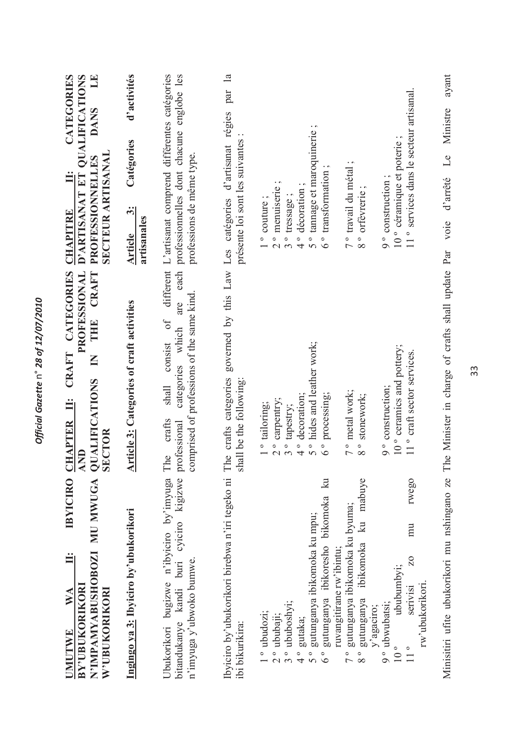| CATEGORIES<br>D'ARTISANAT ET OUALIFICATIONS<br><b>DANS</b><br><b>SECTEUR ARTISANAL</b><br><b>PROFESSIONNELLES</b><br>Ë<br><b>CHAPITRE</b><br>CRAFT CATEGORIES<br>CRAFT<br>PROFESSIONAL<br>THE | d'activités<br>Catégories<br>$\ddot{\dot{\delta}}$<br>artisanales<br>Article | different L'artisanat comprend différentes catégories<br>each professionnelles dont chacune englobe les<br>professions de même type.<br>are<br>$\sigma$ f<br>consist | par<br>governed by this Law Les catégories d'artisanat régies<br>présente loi sont les suivantes | 11° services dans le secteur artisanal.<br>5° tannage et maroquinerie;<br>10° céramique et poterie;<br>7° travail du métal;<br>transformation<br>9° construction;<br>$2o$ menuiserie;<br>4° décoration;<br>8° orfevrerie;<br>3° tressage;<br>$1°$ couture;<br>$6\degree$                                                                                                                                                                                              |
|-----------------------------------------------------------------------------------------------------------------------------------------------------------------------------------------------|------------------------------------------------------------------------------|----------------------------------------------------------------------------------------------------------------------------------------------------------------------|--------------------------------------------------------------------------------------------------|-----------------------------------------------------------------------------------------------------------------------------------------------------------------------------------------------------------------------------------------------------------------------------------------------------------------------------------------------------------------------------------------------------------------------------------------------------------------------|
| $\overline{\mathsf{K}}$<br>QUALIFICATIONS<br>SECTOR<br>Ë<br>CHAPTER<br>AND                                                                                                                    | <b>Article 3: Categories of craft activities</b>                             | comprised of professions of the same kind.<br>categories which<br>shall<br>crafts<br>professional<br>The                                                             | The crafts categories<br>shall be the following:                                                 | 5° hides and leather work;<br>10° ceramics and pottery;<br>11° craft sector services.<br>9° construction;<br>7° metal work;<br>processing;<br>4° decoration;<br>8° stonework;<br>2° carpentry;<br>1 <sup>°</sup> tailoring;<br>3° tapestry;<br>$6\degree$                                                                                                                                                                                                             |
| N'IMPAMYABUSHOBOZI MU MWUGA<br><b>IBYICIRO</b><br>Ë<br><b>BY'UBUKORIKORI</b><br>W'UBUKORIKORI<br>$\mathbb{N} \mathbb{A}$<br>UMUTWE                                                            | Ingingo ya 3: Ibyiciro by'ubukorikori                                        | cyiciro kigizwe<br>Ubukorikori bugizwe n'ibyiciro by'imyuga<br>bitandukanye kandi buri<br>n'imyuga y'ubwoko bumwe.                                                   | Ibyiciro by'ubukorikori birebwa n'iri tegeko ni<br>ibi bikurikira:                               | bikomoka ku<br>mabuve<br>rwego<br>gutunganya ibikomoka ku byuma;<br>gutunganya ibikomoka ku mpu;<br>k<br>mu<br>ibikomoka<br>gutunganya ibikoresho<br>ruvangitirane rw'ibintu;<br>20<br>ububumbyi;<br>rw'ubukorikori<br>serivisi<br>gutunganya<br>° ububoshyi;<br>9° ubwubatsi;<br>y'agaciro;<br>1 <sup>°</sup> ubudozi;<br>2 <sup>°</sup> ububaji;<br>gutaka;<br>$10^{\circ}$<br>$\frac{1}{10}$<br>。<br>4<br>$\frac{1}{2}$<br>$5^{\circ}$<br>$\frac{1}{8}$<br>$\circ$ |

Official Gazette n° 28 of 12/07/2010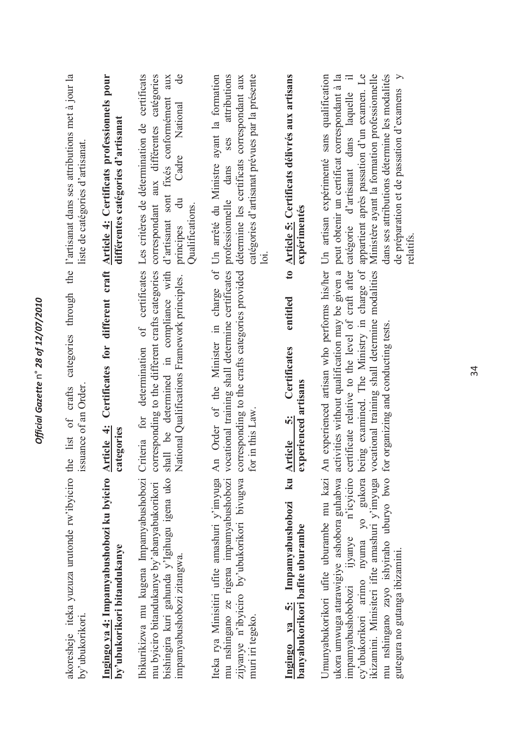Official Gazette n° 28 of 12/07/2010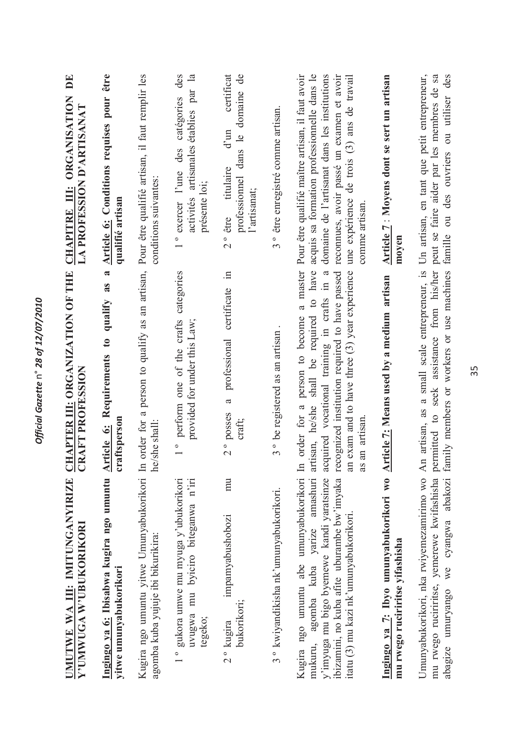| UMUTWE WA III: IMITUNGANYIRIZE<br>Y'UMWUGA W'UBUKORIKORI                                                                                                                                                                                                                 | <b>CHAPTER III: ORGANIZATION OF THE</b><br>CRAFT PROFESSION                                                                                                                                                 | $\mathbf{D}$ E<br>CHAPITRE III: ORGANISATION<br>LA PROFESSION D'ARTISANAT                                                                                                                                                                                   |
|--------------------------------------------------------------------------------------------------------------------------------------------------------------------------------------------------------------------------------------------------------------------------|-------------------------------------------------------------------------------------------------------------------------------------------------------------------------------------------------------------|-------------------------------------------------------------------------------------------------------------------------------------------------------------------------------------------------------------------------------------------------------------|
| Ingingo ya 6: Ibisabwa kugira ngo umuntu<br>yitwe umunyabukorikori                                                                                                                                                                                                       | $\approx$<br>as<br>qualify<br>Requirements to<br>craftsperson<br>Article 6:                                                                                                                                 | <b>Article 6:</b> Conditions requises pour être<br>qualifié artisan                                                                                                                                                                                         |
| Kugira ngo umuntu yitwe Umunyabukorikori In order for a person to qualify as an artisan,<br>agomba kuba yujuje ibi bikurikira:                                                                                                                                           | he/she shall                                                                                                                                                                                                | Pour être qualifié artisan, il faut remplir les<br>conditions suivantes:                                                                                                                                                                                    |
| 1° gukora umwe mu myuga y'ubukorikori<br>uvugwa mu byiciro biteganwa n'iri<br>tegeko;                                                                                                                                                                                    | categories<br>perform one of the crafts<br>provided for under this Law;                                                                                                                                     | des<br>activités artisanales établies par la<br>catégories<br>des<br>° exercer l'une<br>présente loi;                                                                                                                                                       |
| mu<br>impamyabushobozi<br>bukorikori;<br>2 <sup>°</sup> kugira                                                                                                                                                                                                           | certificate in<br>professional<br>$\boldsymbol{\varpi}$<br>2° posses<br>craft;                                                                                                                              | certificat<br>professionnel dans le domaine de<br>$d'$ un<br>2° être titulaire<br>l'artisanat;                                                                                                                                                              |
| 3 ° kwiyandikisha nk'umunyabukorikori.                                                                                                                                                                                                                                   | 3° be registered as an artisan.                                                                                                                                                                             | 3° être enregistré comme artisan.                                                                                                                                                                                                                           |
| ibizamini, no kuba afite uburambe bw'imyaka recognized institution required to have passed<br>y'imyuga mu bigo byemewe kandi yaratsinze<br>Kugira ngo umuntu abe umunyabukorikori<br>amashuri<br>itatu (3) mu kazi nk'umunyabukorikori.<br>agomba kuba yarize<br>mukuru, | a master<br>acquired vocational training in crafts in a<br>artisan, he/she shall be required to have<br>an exam and to have three $(3)$ year experience<br>In order for a person to become<br>as an artisan | domaine de l'artisanat dans les institutions<br>acquis sa formation professionnelle dans le<br>Pour être qualifié maître artisan, il faut avoir<br>reconnues, avoir passé un examen et avoir<br>une expérience de trois (3) ans de travail<br>comme artisan |
| Ingingo ya 7: Ibyo umunyabukorikori wo<br>mu rwego ruciriritse yifashisha                                                                                                                                                                                                | Article 7: Means used by a medium artisan                                                                                                                                                                   | Article 7: Moyens dont se sert un artisan<br>moyen                                                                                                                                                                                                          |
| Umunyabukorikori, nka rwiyemezamirimo wo<br>mu rwego ruciriritse, yemerewe kwifashisha<br>we cyangwa abakozi<br>abagize umuryango                                                                                                                                        | permitted to seek assistance from his/her<br>An artisan, as a small scale entrepreneur, is<br>family members or workers or use machines                                                                     | Un artisan, en tant que petit entrepreneur,<br>peut se faire aider par les membres de sa<br>famille ou des ouvriers ou utiliser des                                                                                                                         |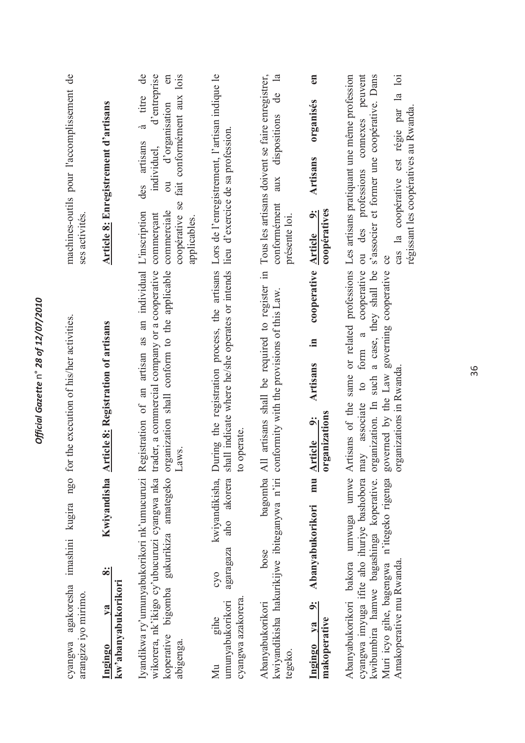| ngo for the execution of his/her activities.<br>agakoresha imashini kugira<br>arangize iyo mirimo.<br>cyangwa                                                                                                                                                                                                                                             |                              | machines-outils pour l'accomplissement de<br>ses activités.                                                                                                                                                                                                                   |
|-----------------------------------------------------------------------------------------------------------------------------------------------------------------------------------------------------------------------------------------------------------------------------------------------------------------------------------------------------------|------------------------------|-------------------------------------------------------------------------------------------------------------------------------------------------------------------------------------------------------------------------------------------------------------------------------|
| Kwiyandisha Article 8: Registration of artisans<br>$\ddot{\infty}$<br>kw'abanyabukorikori<br>V2<br>Ingingo                                                                                                                                                                                                                                                |                              | Article 8: Enregistrement d'artisans                                                                                                                                                                                                                                          |
| Registration of an artisan as an individual L'inscription<br>organization shall conform to the applicable<br>trader, a commercial company or a cooperative<br>Laws.<br>amategeko<br>Iyandikwa ry'umunyabukorikori nk'umucuruzi<br>wikorera, nk'ikigo cy'ubucuruzi cyangwa nka<br>gukurikiza<br>koperative bigomba<br>abigenga.                            |                              | de<br>d'entreprise<br>coopérative se fait conformément aux lois<br>en<br>à titre<br>ou d'organisation<br>des artisans<br>individuel,<br>commerciale<br>commerçant<br>applicables.                                                                                             |
| operate.<br>$\mathbf{c}$<br>kwiyandikisha,<br>akorera<br>aho<br>agaragaza<br>cyo<br>cyangwa azakorera.<br>umunyabukorikori<br>gihe<br>$\rm M\mu$                                                                                                                                                                                                          |                              | During the registration process, the artisans Lors de l'enregistrement, l'artisan indique le<br>shall indicate where he/she operates or intends lieu d'exercice de sa profession.                                                                                             |
| conformity with the provisions of this Law.<br>bagomba<br>kwiyandikisha hakurikijwe ibiteganywa n'iri<br>bose<br>Abanyabukorikori<br>tegeko.                                                                                                                                                                                                              |                              | All artisans shall be required to register in Tous les artisans doivent se faire enregistrer,<br>$\overline{\mathbf{a}}$<br>$\overline{d}$ e<br>dispositions<br>aux<br>conformément<br>présente loi.                                                                          |
| Artisans<br>rganizations<br>$\ddot{\mathbf{e}}$<br>mu Article<br>$\ddot{\bullet}$<br>Abanyabukorikori<br>$\dot{\tilde{\mathbf{c}}}$<br>makoperative<br>$V2$<br>Ingingo                                                                                                                                                                                    | cooperative Article 9:<br>Ξ. | en<br>organisés<br>Artisans<br>coopératives                                                                                                                                                                                                                                   |
| organization. In such a case, they shall be<br>governed by the Law governing cooperative<br>to form a<br>organizations in Rwanda.<br>cyangwa imyuga ifite aho ihuriye bashobora may associate<br>kwibumbira hamwe bagashinga koperative.<br>Abanyabukorikori bakora umwuga umwe<br>Muri icyo gihe, bagengwa n'itegeko rigenga<br>Amakoperative mu Rwanda. | cooperative                  | Artisans of the same or related professions Les artisans pratiquant une même profession<br>ou des professions connexes peuvent<br>s'associer et former une coopérative. Dans<br>cas la coopérative est régie par la loi<br>régissant les coopératives au Rwanda.<br>$\rm{ce}$ |

Official Gazette n° 28 of 12/07/2010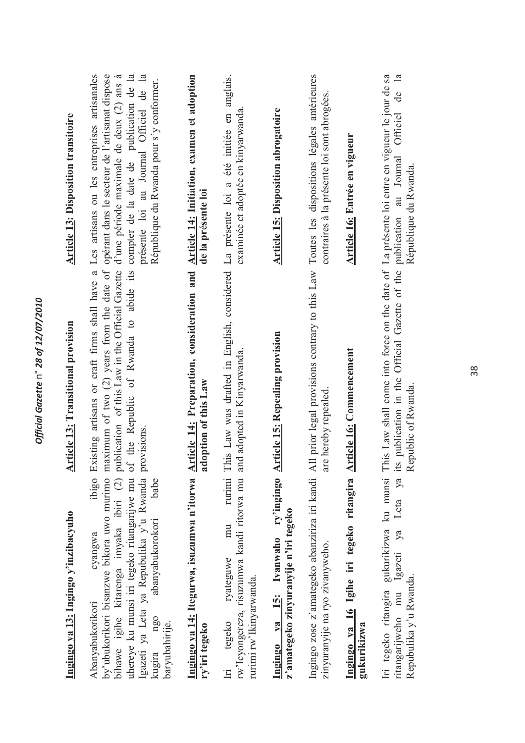| Ingingo ya 13: Ingingo y'inzibacyuho                                                                                                                                                                                                                                                   | <b>Article 13: Transitional provision</b>                                                                                                                                                                                                                                                                                                                                          | <b>Article 13: Disposition transitoire</b>                                         |
|----------------------------------------------------------------------------------------------------------------------------------------------------------------------------------------------------------------------------------------------------------------------------------------|------------------------------------------------------------------------------------------------------------------------------------------------------------------------------------------------------------------------------------------------------------------------------------------------------------------------------------------------------------------------------------|------------------------------------------------------------------------------------|
| Igazeti ya Leta ya Repubulika y'u Rwanda<br>ibigo<br>uhereye ku munsi iri tegeko ritangarijwe mu<br>by'ubukorikori bisanzwe bikora uwo murimo<br>bihawe igihe kitarenga imyaka ibiri (2)<br>babe<br>abanyabukorokori<br>cyangwa<br>Abanyabukorikori<br>ngo<br>baryubahirije.<br>kugira | Existing artisans or craft firms shall have a Les artisans ou les entreprises artisanales<br>maximum of two (2) years from the date of opérant dans le secteur de l'artisanat dispose<br>publication of this Law in the Official Gazette d'une période maximale de deux (2) ans à<br>of the Republic of Rwanda to abide its compter de la date de publication de la<br>provisions. | présente loi au Journal Officiel de la<br>République du Rwanda pour s'y conformer. |
| Ingingo ya 14: Itegurwa, isuzumwa n'itorwa<br>ry'iri tegeko                                                                                                                                                                                                                            | <b>Article 14: Preparation, consideration and</b><br>adoption of this Law                                                                                                                                                                                                                                                                                                          | Article 14: Initiation, examen et adoption<br>de la présente loi                   |
| rurimi<br>rw'Icyongereza, risuzumwa kandi ritorwa mu<br>mu<br>ryateguwe<br>rurimi rw'lkinyarwanda.<br>tegeko<br>İri                                                                                                                                                                    | This Law was drafted in English, considered La présente loi a été initiée en anglais,<br>and adopted in Kinyarwanda.                                                                                                                                                                                                                                                               | examinée et adoptée en kinyarwanda.                                                |
| ry'ingingo<br>z'amategeko zinyuranyije n'iri tegeko<br>Ingingo ya 15: Ivanwaho                                                                                                                                                                                                         | <b>Article 15: Repealing provision</b>                                                                                                                                                                                                                                                                                                                                             | <b>Article 15: Disposition abrogatoire</b>                                         |
| zinyuranyije na ryo zivanyweho.                                                                                                                                                                                                                                                        | Ingingo zose z'amategeko abanziriza iri kandi All prior legal provisions contrary to this Law Toutes les dispositions légales antérieures<br>are hereby repealed                                                                                                                                                                                                                   | contraires à la présente loi sont abrogées.                                        |
| Ingingo ya 16 Igihe iri tegeko ritangira<br>gukurikizwa                                                                                                                                                                                                                                | <b>Article 16: Commencement</b>                                                                                                                                                                                                                                                                                                                                                    | Article 16: Entrée en vigueur                                                      |
| gukurikizwa ku munsi<br>Leta ya<br>Igazeti ya<br>Repubulika y'u Rwanda.<br>Iri tegeko ritangira<br>ritangariweho mu                                                                                                                                                                    | This Law shall come into force on the date of La présente loi entre en vigueur le jour de sa<br>ts publication in the Official Gazette of the publication au Journal<br>Republic of Rwanda.                                                                                                                                                                                        | de la<br>Officiel<br>République du Rwanda.                                         |